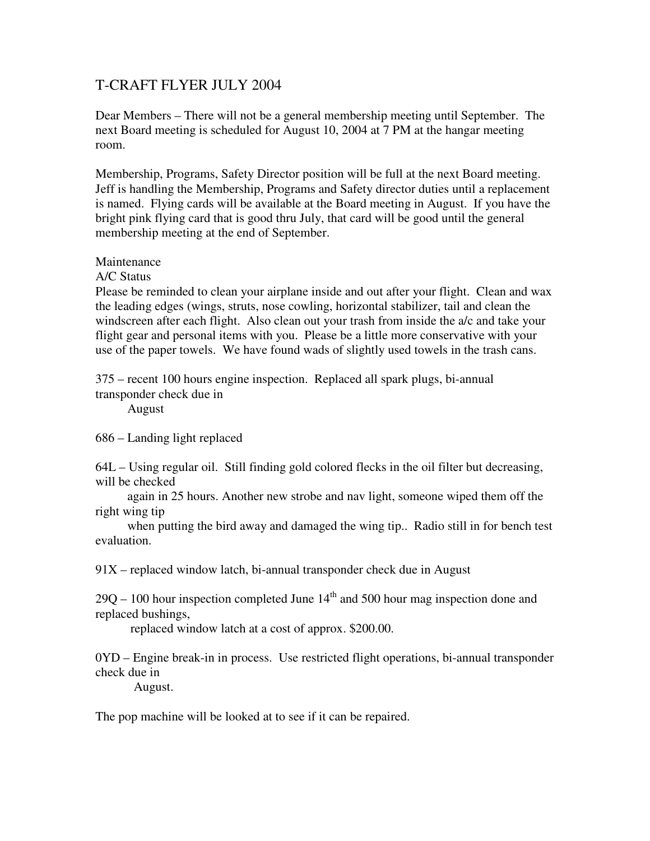## T-CRAFT FLYER JULY 2004

Dear Members – There will not be a general membership meeting until September. The next Board meeting is scheduled for August 10, 2004 at 7 PM at the hangar meeting room.

Membership, Programs, Safety Director position will be full at the next Board meeting. Jeff is handling the Membership, Programs and Safety director duties until a replacement is named. Flying cards will be available at the Board meeting in August. If you have the bright pink flying card that is good thru July, that card will be good until the general membership meeting at the end of September.

## Maintenance

A/C Status

Please be reminded to clean your airplane inside and out after your flight. Clean and wax the leading edges (wings, struts, nose cowling, horizontal stabilizer, tail and clean the windscreen after each flight. Also clean out your trash from inside the a/c and take your flight gear and personal items with you. Please be a little more conservative with your use of the paper towels. We have found wads of slightly used towels in the trash cans.

375 – recent 100 hours engine inspection. Replaced all spark plugs, bi-annual transponder check due in

August

686 – Landing light replaced

64L – Using regular oil. Still finding gold colored flecks in the oil filter but decreasing, will be checked

 again in 25 hours. Another new strobe and nav light, someone wiped them off the right wing tip

 when putting the bird away and damaged the wing tip.. Radio still in for bench test evaluation.

91X – replaced window latch, bi-annual transponder check due in August

 $29Q - 100$  hour inspection completed June  $14<sup>th</sup>$  and 500 hour mag inspection done and replaced bushings,

replaced window latch at a cost of approx. \$200.00.

0YD – Engine break-in in process. Use restricted flight operations, bi-annual transponder check due in

August.

The pop machine will be looked at to see if it can be repaired.